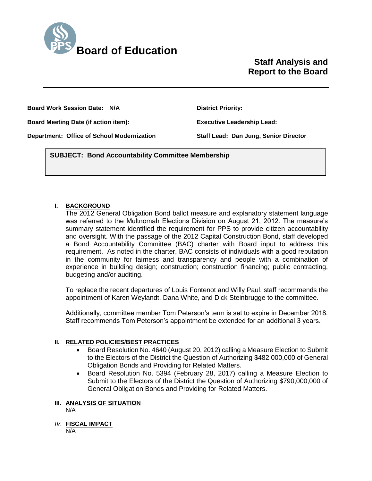

# **Staff Analysis and Report to the Board**

**Board Work Session Date: N/A District Priority:** 

**Board Meeting Date (if action item): Executive Leadership Lead:** 

**Department: Office of School Modernization Staff Lead: Dan Jung, Senior Director**

*(Use this section to briefly explain the item—2-3 sentences)* **SUBJECT: Bond Accountability Committee Membership**

### **I. BACKGROUND**

The 2012 General Obligation Bond ballot measure and explanatory statement language was referred to the Multnomah Elections Division on August 21, 2012. The measure's summary statement identified the requirement for PPS to provide citizen accountability and oversight. With the passage of the 2012 Capital Construction Bond, staff developed a Bond Accountability Committee (BAC) charter with Board input to address this requirement. As noted in the charter, BAC consists of individuals with a good reputation in the community for fairness and transparency and people with a combination of experience in building design; construction; construction financing; public contracting, budgeting and/or auditing.

To replace the recent departures of Louis Fontenot and Willy Paul, staff recommends the appointment of Karen Weylandt, Dana White, and Dick Steinbrugge to the committee.

Additionally, committee member Tom Peterson's term is set to expire in December 2018. Staff recommends Tom Peterson's appointment be extended for an additional 3 years.

### **II. RELATED POLICIES/BEST PRACTICES**

- Board Resolution No. 4640 (August 20, 2012) calling a Measure Election to Submit to the Electors of the District the Question of Authorizing \$482,000,000 of General Obligation Bonds and Providing for Related Matters.
- Board Resolution No. 5394 (February 28, 2017) calling a Measure Election to Submit to the Electors of the District the Question of Authorizing \$790,000,000 of General Obligation Bonds and Providing for Related Matters.

### **III. ANALYSIS OF SITUATION**

N/A

*IV.* **FISCAL IMPACT** N/A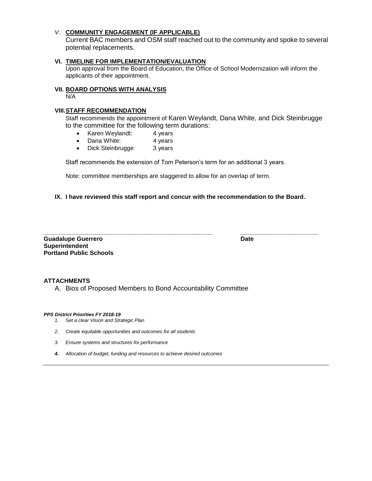#### *V.* **COMMUNITY ENGAGEMENT (IF APPLICABLE)**

Current BAC members and OSM staff reached out to the community and spoke to several potential replacements.

#### **VI. TIMELINE FOR IMPLEMENTATION/EVALUATION**

Upon approval from the Board of Education, the Office of School Modernization will inform the applicants of their appointment.

#### **VII. BOARD OPTIONS WITH ANALYSIS**

N/A

#### **VIII.STAFF RECOMMENDATION**

Staff recommends the appointment of Karen Weylandt, Dana White, and Dick Steinbrugge to the committee for the following term durations:

- Karen Weylandt: 4 years
- Dana White: 4 years
- Dick Steinbrugge 3 years

Staff recommends the extension of Tom Peterson's term for an additional 3 years.

Note: committee memberships are staggered to allow for an overlap of term.

#### **IX. I have reviewed this staff report and concur with the recommendation to the Board.**

**\_\_\_\_\_\_\_\_\_\_\_\_\_\_\_\_\_\_\_\_\_\_\_\_\_\_\_\_\_\_\_\_\_\_\_\_\_\_\_\_\_\_\_\_\_\_\_\_\_\_ \_\_\_\_\_\_\_\_\_\_\_\_\_\_\_\_\_\_\_\_\_\_\_ Guadalupe Guerrero Date Superintendent Portland Public Schools**

#### **ATTACHMENTS**

A. Bios of Proposed Members to Bond Accountability Committee

#### *PPS District Priorities FY 2018-19*

- *1. Set a clear Vision and Strategic Plan*
- *2. Create equitable opportunities and outcomes for all students*
- *3. Ensure systems and structures for performance*
- *4. Allocation of budget, funding and resources to achieve desired outcomes*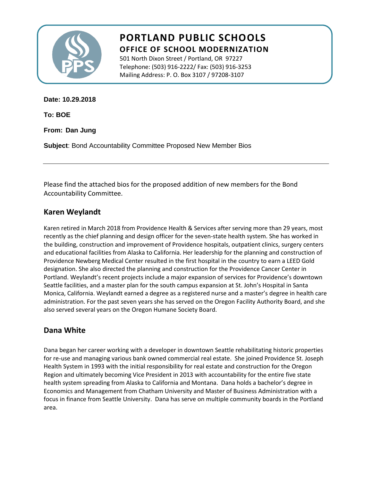

# **PORTLAND PUBLIC SCHOOLS OFFICE OF SCHOOL MODERNIZATION**

501 North Dixon Street / Portland, OR 97227 Telephone: (503) 916-2222/ Fax: (503) 916-3253 Mailing Address: P. O. Box 3107 / 97208-3107

**Date: 10.29.2018**

**To: BOE**

**From: Dan Jung**

**Subject**: Bond Accountability Committee Proposed New Member Bios

Please find the attached bios for the proposed addition of new members for the Bond Accountability Committee.

## **Karen Weylandt**

Karen retired in March 2018 from Providence Health & Services after serving more than 29 years, most recently as the chief planning and design officer for the seven-state health system. She has worked in the building, construction and improvement of Providence hospitals, outpatient clinics, surgery centers and educational facilities from Alaska to California. Her leadership for the planning and construction of Providence Newberg Medical Center resulted in the first hospital in the country to earn a LEED Gold designation. She also directed the planning and construction for the Providence Cancer Center in Portland. Weylandt's recent projects include a major expansion of services for Providence's downtown Seattle facilities, and a master plan for the south campus expansion at St. John's Hospital in Santa Monica, California. Weylandt earned a degree as a registered nurse and a master's degree in health care administration. For the past seven years she has served on the Oregon Facility Authority Board, and she also served several years on the Oregon Humane Society Board.

## **Dana White**

Dana began her career working with a developer in downtown Seattle rehabilitating historic properties for re-use and managing various bank owned commercial real estate. She joined Providence St. Joseph Health System in 1993 with the initial responsibility for real estate and construction for the Oregon Region and ultimately becoming Vice President in 2013 with accountability for the entire five state health system spreading from Alaska to California and Montana. Dana holds a bachelor's degree in Economics and Management from Chatham University and Master of Business Administration with a focus in finance from Seattle University. Dana has serve on multiple community boards in the Portland area.